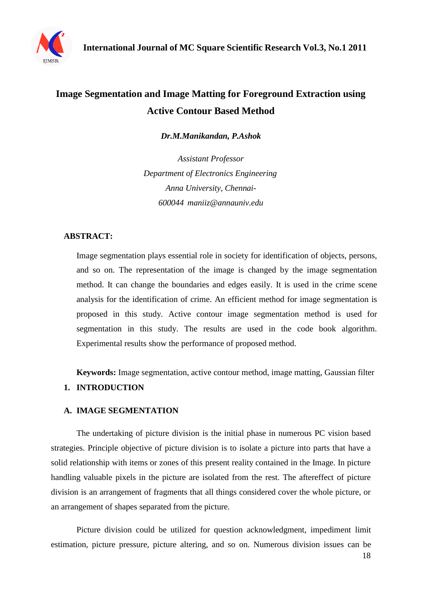

# **Image Segmentation and Image Matting for Foreground Extraction using Active Contour Based Method**

*Dr.M.Manikandan, P.Ashok*

*Assistant Professor Department of Electronics Engineering Anna University, Chennai-600044 [maniiz@annauniv.edu](mailto:maniiz@annauniv.edu)*

#### **ABSTRACT:**

Image segmentation plays essential role in society for identification of objects, persons, and so on. The representation of the image is changed by the image segmentation method. It can change the boundaries and edges easily. It is used in the crime scene analysis for the identification of crime. An efficient method for image segmentation is proposed in this study. Active contour image segmentation method is used for segmentation in this study. The results are used in the code book algorithm. Experimental results show the performance of proposed method.

**Keywords:** Image segmentation, active contour method, image matting, Gaussian filter

#### **1. INTRODUCTION**

#### **A. IMAGE SEGMENTATION**

The undertaking of picture division is the initial phase in numerous PC vision based strategies. Principle objective of picture division is to isolate a picture into parts that have a solid relationship with items or zones of this present reality contained in the Image. In picture handling valuable pixels in the picture are isolated from the rest. The aftereffect of picture division is an arrangement of fragments that all things considered cover the whole picture, or an arrangement of shapes separated from the picture.

Picture division could be utilized for question acknowledgment, impediment limit estimation, picture pressure, picture altering, and so on. Numerous division issues can be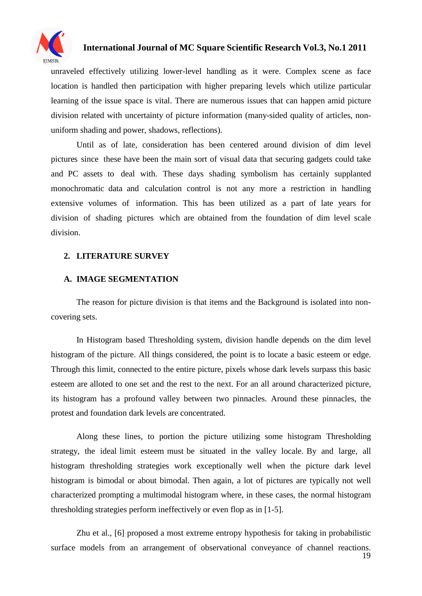

unraveled effectively utilizing lower-level handling as it were. Complex scene as face location is handled then participation with higher preparing levels which utilize particular learning of the issue space is vital. There are numerous issues that can happen amid picture division related with uncertainty of picture information (many-sided quality of articles, nonuniform shading and power, shadows, reflections).

Until as of late, consideration has been centered around division of dim level pictures since these have been the main sort of visual data that securing gadgets could take and PC assets to deal with. These days shading symbolism has certainly supplanted monochromatic data and calculation control is not any more a restriction in handling extensive volumes of information. This has been utilized as a part of late years for division of shading pictures which are obtained from the foundation of dim level scale division.

#### **2. LITERATURE SURVEY**

#### **A. IMAGE SEGMENTATION**

The reason for picture division is that items and the Background is isolated into noncovering sets.

In Histogram based Thresholding system, division handle depends on the dim level histogram of the picture. All things considered, the point is to locate a basic esteem or edge. Through this limit, connected to the entire picture, pixels whose dark levels surpass this basic esteem are alloted to one set and the rest to the next. For an all around characterized picture, its histogram has a profound valley between two pinnacles. Around these pinnacles, the protest and foundation dark levels are concentrated.

Along these lines, to portion the picture utilizing some histogram Thresholding strategy, the ideal limit esteem must be situated in the valley locale. By and large, all histogram thresholding strategies work exceptionally well when the picture dark level histogram is bimodal or about bimodal. Then again, a lot of pictures are typically not well characterized prompting a multimodal histogram where, in these cases, the normal histogram thresholding strategies perform ineffectively or even flop as in [1-5].

Zhu et al., [6] proposed a most extreme entropy hypothesis for taking in probabilistic surface models from an arrangement of observational conveyance of channel reactions.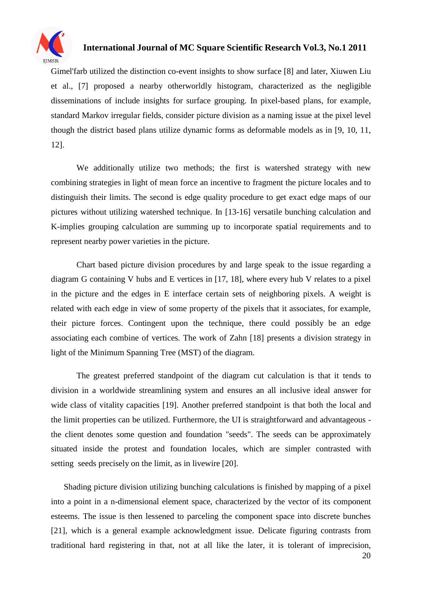

Gimel'farb utilized the distinction co-event insights to show surface [8] and later, Xiuwen Liu et al., [7] proposed a nearby otherworldly histogram, characterized as the negligible disseminations of include insights for surface grouping. In pixel-based plans, for example, standard Markov irregular fields, consider picture division as a naming issue at the pixel level though the district based plans utilize dynamic forms as deformable models as in [9, 10, 11, 12].

We additionally utilize two methods; the first is watershed strategy with new combining strategies in light of mean force an incentive to fragment the picture locales and to distinguish their limits. The second is edge quality procedure to get exact edge maps of our pictures without utilizing watershed technique. In [13-16] versatile bunching calculation and K-implies grouping calculation are summing up to incorporate spatial requirements and to represent nearby power varieties in the picture.

Chart based picture division procedures by and large speak to the issue regarding a diagram G containing V hubs and E vertices in [17, 18], where every hub V relates to a pixel in the picture and the edges in E interface certain sets of neighboring pixels. A weight is related with each edge in view of some property of the pixels that it associates, for example, their picture forces. Contingent upon the technique, there could possibly be an edge associating each combine of vertices. The work of Zahn [18] presents a division strategy in light of the Minimum Spanning Tree (MST) of the diagram.

The greatest preferred standpoint of the diagram cut calculation is that it tends to division in a worldwide streamlining system and ensures an all inclusive ideal answer for wide class of vitality capacities [19]. Another preferred standpoint is that both the local and the limit properties can be utilized. Furthermore, the UI is straightforward and advantageous the client denotes some question and foundation "seeds". The seeds can be approximately situated inside the protest and foundation locales, which are simpler contrasted with setting seeds precisely on the limit, as in livewire [20].

Shading picture division utilizing bunching calculations is finished by mapping of a pixel into a point in a n-dimensional element space, characterized by the vector of its component esteems. The issue is then lessened to parceling the component space into discrete bunches [21], which is a general example acknowledgment issue. Delicate figuring contrasts from traditional hard registering in that, not at all like the later, it is tolerant of imprecision,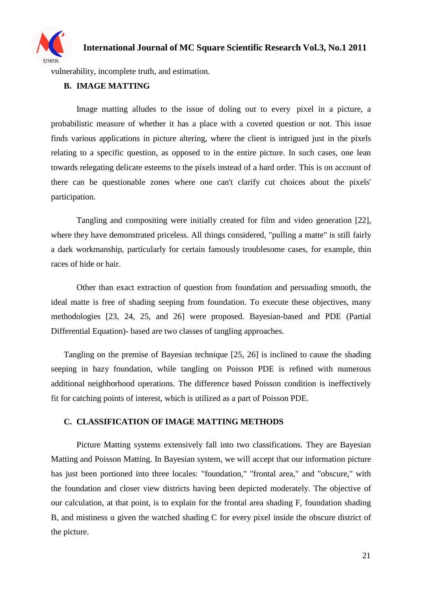

vulnerability, incomplete truth, and estimation.

#### **B. IMAGE MATTING**

Image matting alludes to the issue of doling out to every pixel in a picture, a probabilistic measure of whether it has a place with a coveted question or not. This issue finds various applications in picture altering, where the client is intrigued just in the pixels relating to a specific question, as opposed to in the entire picture. In such cases, one lean towards relegating delicate esteems to the pixels instead of a hard order. This is on account of there can be questionable zones where one can't clarify cut choices about the pixels' participation.

Tangling and compositing were initially created for film and video generation [22], where they have demonstrated priceless. All things considered, "pulling a matte" is still fairly a dark workmanship, particularly for certain famously troublesome cases, for example, thin races of hide or hair.

Other than exact extraction of question from foundation and persuading smooth, the ideal matte is free of shading seeping from foundation. To execute these objectives, many methodologies [23, 24, 25, and 26] were proposed. Bayesian-based and PDE (Partial Differential Equation)- based are two classes of tangling approaches.

Tangling on the premise of Bayesian technique [25, 26] is inclined to cause the shading seeping in hazy foundation, while tangling on Poisson PDE is refined with numerous additional neighborhood operations. The difference based Poisson condition is ineffectively fit for catching points of interest, which is utilized as a part of Poisson PDE.

#### **C. CLASSIFICATION OF IMAGE MATTING METHODS**

Picture Matting systems extensively fall into two classifications. They are Bayesian Matting and Poisson Matting. In Bayesian system, we will accept that our information picture has just been portioned into three locales: "foundation," "frontal area," and "obscure," with the foundation and closer view districts having been depicted moderately. The objective of our calculation, at that point, is to explain for the frontal area shading F, foundation shading B, and mistiness α given the watched shading C for every pixel inside the obscure district of the picture.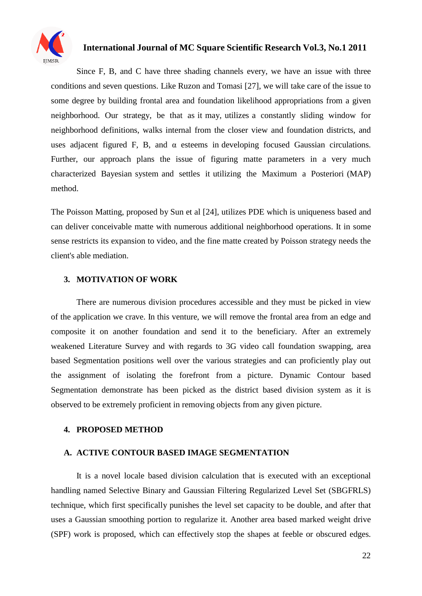

Since F, B, and C have three shading channels every, we have an issue with three conditions and seven questions. Like Ruzon and Tomasi [27], we will take care of the issue to some degree by building frontal area and foundation likelihood appropriations from a given neighborhood. Our strategy, be that as it may, utilizes a constantly sliding window for neighborhood definitions, walks internal from the closer view and foundation districts, and uses adjacent figured F, B, and  $\alpha$  esteems in developing focused Gaussian circulations. Further, our approach plans the issue of figuring matte parameters in a very much characterized Bayesian system and settles it utilizing the Maximum a Posteriori (MAP) method.

The Poisson Matting, proposed by Sun et al [24], utilizes PDE which is uniqueness based and can deliver conceivable matte with numerous additional neighborhood operations. It in some sense restricts its expansion to video, and the fine matte created by Poisson strategy needs the client's able mediation.

#### **3. MOTIVATION OF WORK**

There are numerous division procedures accessible and they must be picked in view of the application we crave. In this venture, we will remove the frontal area from an edge and composite it on another foundation and send it to the beneficiary. After an extremely weakened Literature Survey and with regards to 3G video call foundation swapping, area based Segmentation positions well over the various strategies and can proficiently play out the assignment of isolating the forefront from a picture. Dynamic Contour based Segmentation demonstrate has been picked as the district based division system as it is observed to be extremely proficient in removing objects from any given picture.

#### **4. PROPOSED METHOD**

#### **A. ACTIVE CONTOUR BASED IMAGE SEGMENTATION**

It is a novel locale based division calculation that is executed with an exceptional handling named Selective Binary and Gaussian Filtering Regularized Level Set (SBGFRLS) technique, which first specifically punishes the level set capacity to be double, and after that uses a Gaussian smoothing portion to regularize it. Another area based marked weight drive (SPF) work is proposed, which can effectively stop the shapes at feeble or obscured edges.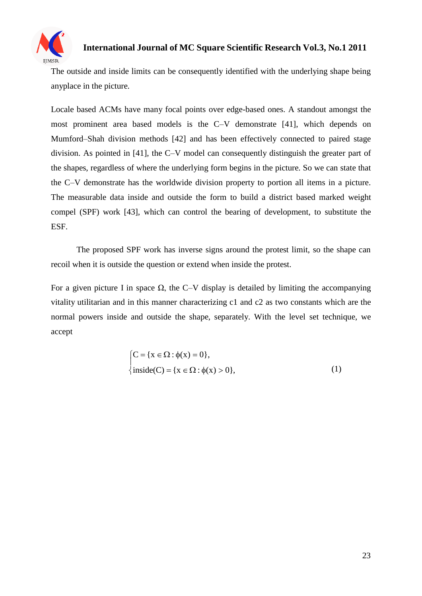

The outside and inside limits can be consequently identified with the underlying shape being anyplace in the picture.

Locale based ACMs have many focal points over edge-based ones. A standout amongst the most prominent area based models is the C–V demonstrate [41], which depends on Mumford–Shah division methods [42] and has been effectively connected to paired stage division. As pointed in [41], the C–V model can consequently distinguish the greater part of the shapes, regardless of where the underlying form begins in the picture. So we can state that the C–V demonstrate has the worldwide division property to portion all items in a picture. The measurable data inside and outside the form to build a district based marked weight compel (SPF) work [43], which can control the bearing of development, to substitute the ESF.

The proposed SPF work has inverse signs around the protest limit, so the shape can recoil when it is outside the question or extend when inside the protest.

For a given picture I in space  $\Omega$ , the C–V display is detailed by limiting the accompanying vitality utilitarian and in this manner characterizing c1 and c2 as two constants which are the normal powers inside and outside the shape, separately. With the level set technique, we accept

$$
\begin{cases}\nC = \{x \in \Omega : \phi(x) = 0\}, \\
\text{inside}(C) = \{x \in \Omega : \phi(x) > 0\},\n\end{cases}
$$
\n(1)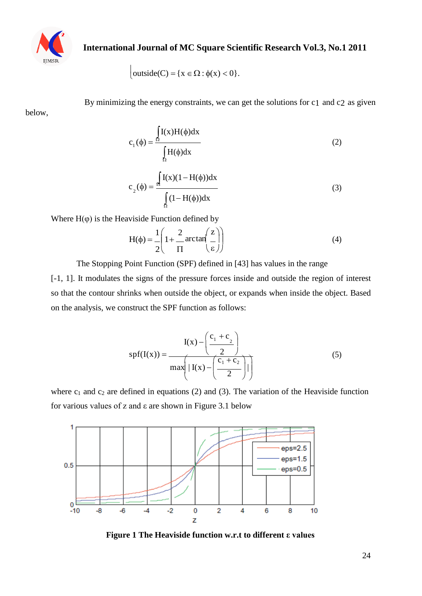

$$
\Big|\text{outside}(C) = \{x \in \Omega : \phi(x) < 0\}.
$$

below,

By minimizing the energy constraints, we can get the solutions for c1 and c2 as given

$$
c_1(\phi) = \frac{\int_{\Omega} I(x)H(\phi)dx}{\int_{\Omega} H(\phi)dx}
$$
 (2)

$$
c_2(\phi) = \frac{\int_{\Omega} I(x)(1 - H(\phi))dx}{\int_{\Omega} (1 - H(\phi))dx}
$$
\n(3)

Where  $H(\varphi)$  is the Heaviside Function defined by

$$
H(\phi) = \frac{1}{2} \left( 1 + \frac{2}{\Pi} \arctan\left(\frac{z}{\varepsilon}\right) \right)
$$
(4)

The Stopping Point Function (SPF) defined in [43] has values in the range

[-1, 1]. It modulates the signs of the pressure forces inside and outside the region of interest so that the contour shrinks when outside the object, or expands when inside the object. Based on the analysis, we construct the SPF function as follows:

$$
spf(I(x)) = \frac{I(x) - \left(\frac{c_1 + c_2}{2}\right)}{\max\left(\left|I(x) - \left(\frac{c_1 + c_2}{2}\right)\right|\right)}
$$
(5)

where  $c_1$  and  $c_2$  are defined in equations (2) and (3). The variation of the Heaviside function for various values of z and ε are shown in Figure 3.1 below



**Figure 1 The Heaviside function w.r.t to different ε values**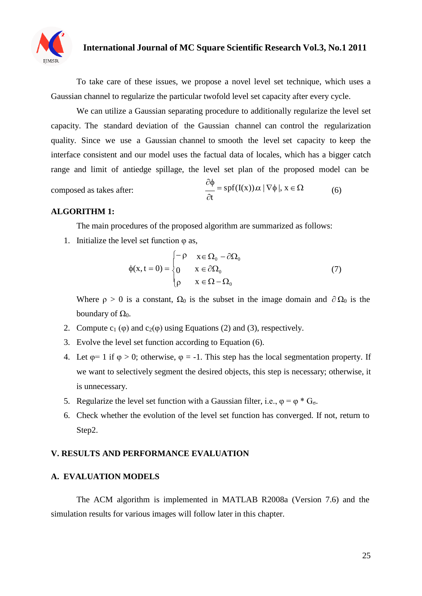

To take care of these issues, we propose a novel level set technique, which uses a Gaussian channel to regularize the particular twofold level set capacity after every cycle.

We can utilize a Gaussian separating procedure to additionally regularize the level set capacity. The standard deviation of the Gaussian channel can control the regularization quality. Since we use a Gaussian channel to smooth the level set capacity to keep the interface consistent and our model uses the factual data of locales, which has a bigger catch range and limit of antiedge spillage, the level set plan of the proposed model can be

composed as takes after:

$$
\frac{\partial \phi}{\partial t} = \text{spf}(I(x)) \, \alpha \, |\, \nabla \phi \, |, \, x \in \Omega \tag{6}
$$

#### **ALGORITHM 1:**

The main procedures of the proposed algorithm are summarized as follows:

1. Initialize the level set function  $\varphi$  as,

$$
\phi(x, t = 0) = \begin{cases}\n-\rho & x \in \Omega_0 - \partial\Omega_0 \\
0 & x \in \partial\Omega_0 \\
\rho & x \in \Omega - \Omega_0\n\end{cases}
$$
\n(7)

Where  $\rho > 0$  is a constant,  $\Omega_0$  is the subset in the image domain and  $\partial \Omega_0$  is the boundary of  $Ω_0$ .

- 2. Compute  $c_1(\varphi)$  and  $c_2(\varphi)$  using Equations (2) and (3), respectively.
- 3. Evolve the level set function according to Equation (6).
- 4. Let  $\varphi = 1$  if  $\varphi > 0$ ; otherwise,  $\varphi = -1$ . This step has the local segmentation property. If we want to selectively segment the desired objects, this step is necessary; otherwise, it is unnecessary.
- 5. Regularize the level set function with a Gaussian filter, i.e.,  $\varphi = \varphi * G_{\sigma}$ .
- 6. Check whether the evolution of the level set function has converged. If not, return to Step2.

#### **V. RESULTS AND PERFORMANCE EVALUATION**

#### **A. EVALUATION MODELS**

The ACM algorithm is implemented in MATLAB R2008a (Version 7.6) and the simulation results for various images will follow later in this chapter.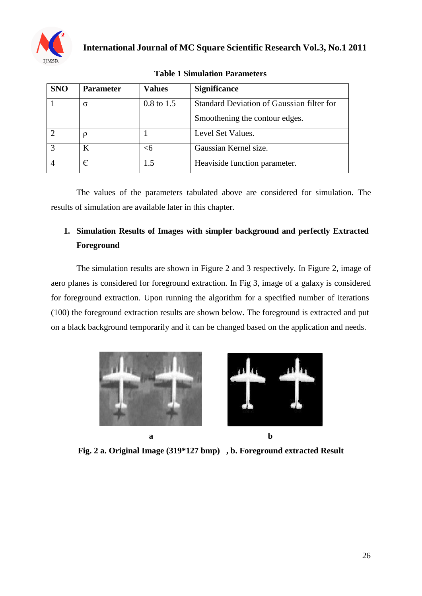

| <b>SNO</b> | <b>Parameter</b> | <b>Values</b>         | <b>Significance</b>                       |
|------------|------------------|-----------------------|-------------------------------------------|
|            | σ                | $0.8 \text{ to } 1.5$ | Standard Deviation of Gaussian filter for |
|            |                  |                       | Smoothening the contour edges.            |
|            |                  |                       | Level Set Values.                         |
|            | K                | <б                    | Gaussian Kernel size.                     |
|            |                  | 1.5                   | Heaviside function parameter.             |

|  | <b>Table 1 Simulation Parameters</b> |
|--|--------------------------------------|
|  |                                      |

The values of the parameters tabulated above are considered for simulation. The results of simulation are available later in this chapter.

# **1. Simulation Results of Images with simpler background and perfectly Extracted Foreground**

The simulation results are shown in Figure 2 and 3 respectively. In Figure 2, image of aero planes is considered for foreground extraction. In Fig 3, image of a galaxy is considered for foreground extraction. Upon running the algorithm for a specified number of iterations (100) the foreground extraction results are shown below. The foreground is extracted and put on a black background temporarily and it can be changed based on the application and needs.





**Fig. 2 a. Original Image (319\*127 bmp) , b. Foreground extracted Result**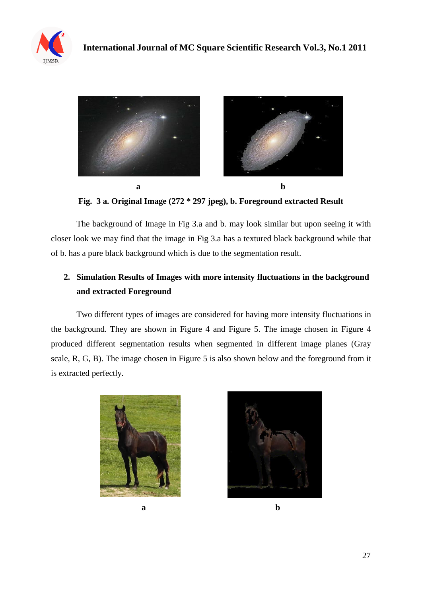



**Fig. 3 a. Original Image (272 \* 297 jpeg), b. Foreground extracted Result**

The background of Image in Fig 3.a and b. may look similar but upon seeing it with closer look we may find that the image in Fig 3.a has a textured black background while that of b. has a pure black background which is due to the segmentation result.

# **2. Simulation Results of Images with more intensity fluctuations in the background and extracted Foreground**

Two different types of images are considered for having more intensity fluctuations in the background. They are shown in Figure 4 and Figure 5. The image chosen in Figure 4 produced different segmentation results when segmented in different image planes (Gray scale, R, G, B). The image chosen in Figure 5 is also shown below and the foreground from it is extracted perfectly.



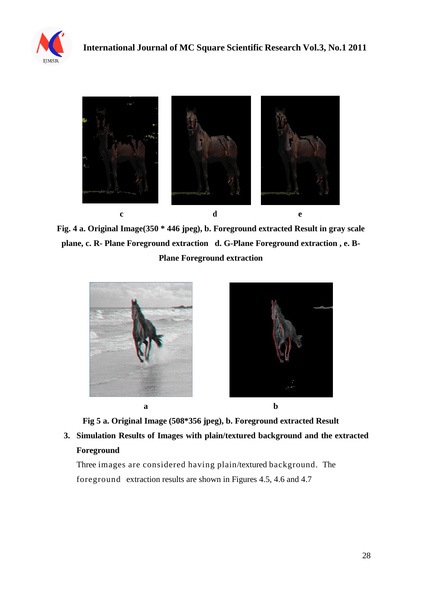



**Fig. 4 a. Original Image(350 \* 446 jpeg), b. Foreground extracted Result in gray scale plane, c. R- Plane Foreground extraction d. G-Plane Foreground extraction , e. B-Plane Foreground extraction**



**Fig 5 a. Original Image (508\*356 jpeg), b. Foreground extracted Result**

**3. Simulation Results of Images with plain/textured background and the extracted Foreground**

Three images are considered having plain/textured background. The foreground extraction results are shown in Figures 4.5, 4.6 and 4.7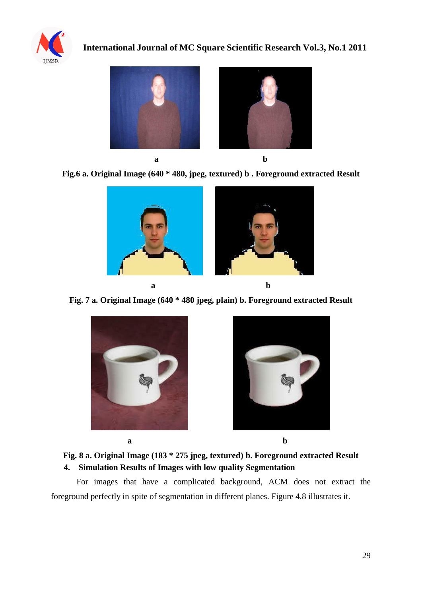

**International Journal of MC Square Scientific Research Vol.3, No.1 2011**



**Fig.6 a. Original Image (640 \* 480, jpeg, textured) b . Foreground extracted Result**



**Fig. 7 a. Original Image (640 \* 480 jpeg, plain) b. Foreground extracted Result**





**Fig. 8 a. Original Image (183 \* 275 jpeg, textured) b. Foreground extracted Result 4. Simulation Results of Images with low quality Segmentation**

For images that have a complicated background, ACM does not extract the foreground perfectly in spite of segmentation in different planes. Figure 4.8 illustrates it.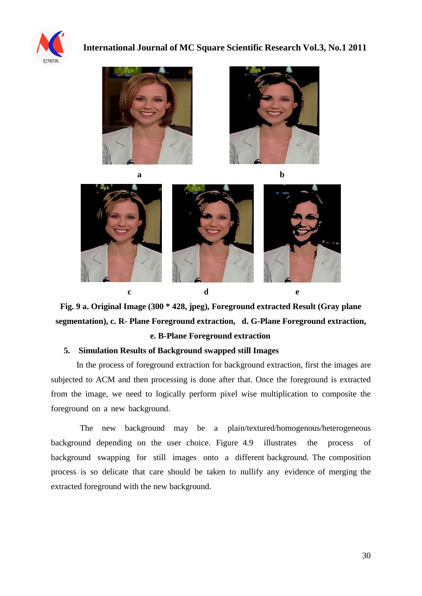









**Fig. 9 a. Original Image (300 \* 428, jpeg), Foreground extracted Result (Gray plane segmentation), c. R- Plane Foreground extraction, d. G-Plane Foreground extraction,**

**e. B-Plane Foreground extraction**

#### **5. Simulation Results of Background swapped still Images**

In the process of foreground extraction for background extraction, first the images are subjected to ACM and then processing is done after that. Once the foreground is extracted from the image, we need to logically perform pixel wise multiplication to composite the foreground on a new background.

The new background may be a plain/textured/homogenous/heterogeneous background depending on the user choice. Figure 4.9 illustrates the process of background swapping for still images onto a different background. The composition process is so delicate that care should be taken to nullify any evidence of merging the extracted foreground with the new background.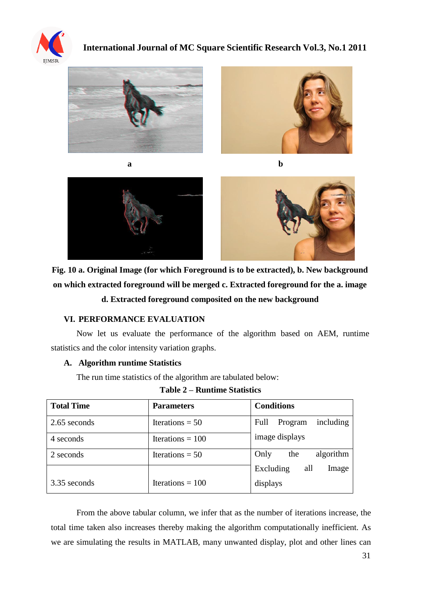









**Fig. 10 a. Original Image (for which Foreground is to be extracted), b. New background on which extracted foreground will be merged c. Extracted foreground for the a. image**

**a b**

**d. Extracted foreground composited on the new background**

#### **VI. PERFORMANCE EVALUATION**

Now let us evaluate the performance of the algorithm based on AEM, runtime statistics and the color intensity variation graphs.

#### **A. Algorithm runtime Statistics**

The run time statistics of the algorithm are tabulated below:

| <b>Total Time</b> | <b>Parameters</b>  | <b>Conditions</b>            |
|-------------------|--------------------|------------------------------|
| 2.65 seconds      | Iterations = $50$  | including<br>Full<br>Program |
| 4 seconds         | Iterations = $100$ | image displays               |
| 2 seconds         | Iterations = $50$  | algorithm<br>Only<br>the     |
|                   |                    | all<br>Image<br>Excluding    |
| 3.35 seconds      | Iterations = $100$ | displays                     |

From the above tabular column, we infer that as the number of iterations increase, the total time taken also increases thereby making the algorithm computationally inefficient. As we are simulating the results in MATLAB, many unwanted display, plot and other lines can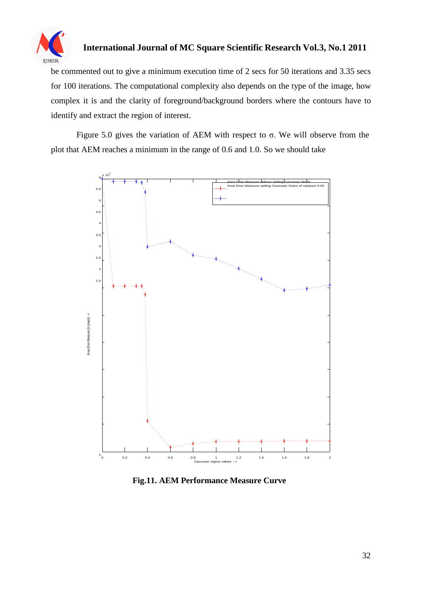

be commented out to give a minimum execution time of 2 secs for 50 iterations and 3.35 secs for 100 iterations. The computational complexity also depends on the type of the image, how complex it is and the clarity of foreground/background borders where the contours have to identify and extract the region of interest.

Figure 5.0 gives the variation of AEM with respect to  $σ$ . We will observe from the plot that AEM reaches a minimum in the range of 0.6 and 1.0. So we should take



**Fig.11. AEM Performance Measure Curve**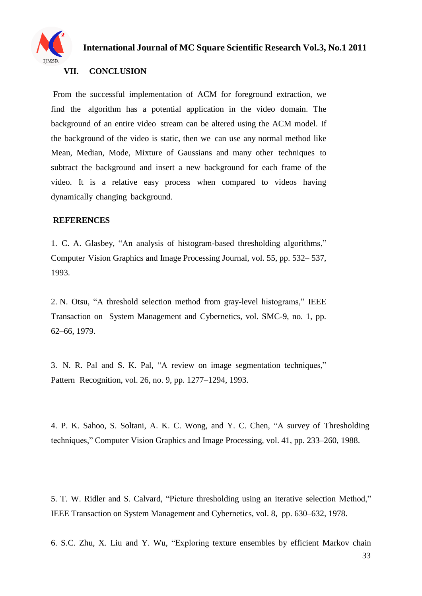

#### **VII. CONCLUSION**

From the successful implementation of ACM for foreground extraction, we find the algorithm has a potential application in the video domain. The background of an entire video stream can be altered using the ACM model. If the background of the video is static, then we can use any normal method like Mean, Median, Mode, Mixture of Gaussians and many other techniques to subtract the background and insert a new background for each frame of the video. It is a relative easy process when compared to videos having dynamically changing background.

#### **REFERENCES**

1. C. A. Glasbey, "An analysis of histogram-based thresholding algorithms," Computer Vision Graphics and Image Processing Journal, vol. 55, pp. 532– 537, 1993.

2. N. Otsu, "A threshold selection method from gray-level histograms," IEEE Transaction on System Management and Cybernetics, vol. SMC-9, no. 1, pp. 62–66, 1979.

3. N. R. Pal and S. K. Pal, "A review on image segmentation techniques," Pattern Recognition, vol. 26, no. 9, pp. 1277–1294, 1993.

4. P. K. Sahoo, S. Soltani, A. K. C. Wong, and Y. C. Chen, "A survey of Thresholding techniques," Computer Vision Graphics and Image Processing, vol. 41, pp. 233–260, 1988.

5. T. W. Ridler and S. Calvard, "Picture thresholding using an iterative selection Method," IEEE Transaction on System Management and Cybernetics, vol. 8, pp. 630–632, 1978.

6. S.C. Zhu, X. Liu and Y. Wu, "Exploring texture ensembles by efficient Markov chain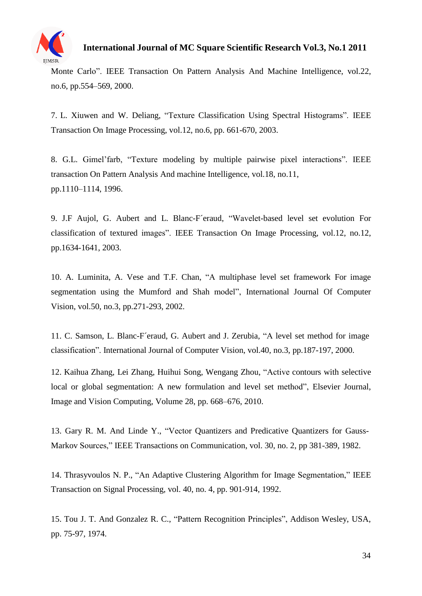

Monte Carlo". IEEE Transaction On Pattern Analysis And Machine Intelligence, vol.22, no.6, pp.554–569, 2000.

7. L. Xiuwen and W. Deliang, "Texture Classification Using Spectral Histograms". IEEE Transaction On Image Processing, vol.12, no.6, pp. 661-670, 2003.

8. G.L. Gimel'farb, "Texture modeling by multiple pairwise pixel interactions". IEEE transaction On Pattern Analysis And machine Intelligence, vol.18, no.11, pp.1110–1114, 1996.

9. J.F Aujol, G. Aubert and L. Blanc-F´eraud, "Wavelet-based level set evolution For classification of textured images". IEEE Transaction On Image Processing, vol.12, no.12, pp.1634-1641, 2003.

10. A. Luminita, A. Vese and T.F. Chan, "A multiphase level set framework For image segmentation using the Mumford and Shah model", International Journal Of Computer Vision, vol.50, no.3, pp.271-293, 2002.

11. C. Samson, L. Blanc-F´eraud, G. Aubert and J. Zerubia, "A level set method for image classification". International Journal of Computer Vision, vol.40, no.3, pp.187-197, 2000.

12. Kaihua Zhang, Lei Zhang, Huihui Song, Wengang Zhou, "Active contours with selective local or global segmentation: A new formulation and level set method", Elsevier Journal, Image and Vision Computing, Volume 28, pp. 668–676, 2010.

13. Gary R. M. And Linde Y., "Vector Quantizers and Predicative Quantizers for Gauss-Markov Sources," IEEE Transactions on Communication, vol. 30, no. 2, pp 381-389, 1982.

14. Thrasyvoulos N. P., "An Adaptive Clustering Algorithm for Image Segmentation," IEEE Transaction on Signal Processing, vol. 40, no. 4, pp. 901-914, 1992.

15. Tou J. T. And Gonzalez R. C., "Pattern Recognition Principles", Addison Wesley, USA, pp. 75-97, 1974.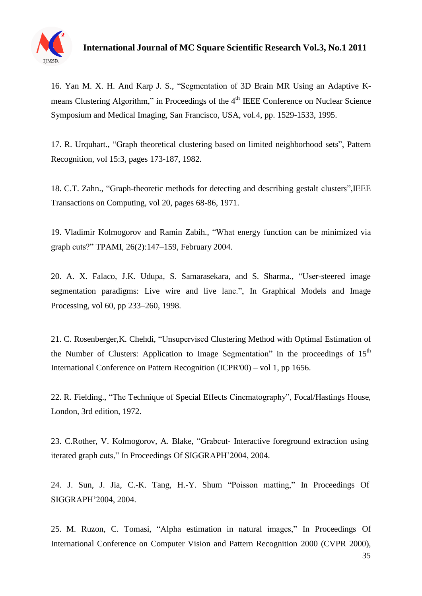

16. Yan M. X. H. And Karp J. S., "Segmentation of 3D Brain MR Using an Adaptive Kmeans Clustering Algorithm," in Proceedings of the 4<sup>th</sup> IEEE Conference on Nuclear Science Symposium and Medical Imaging, San Francisco, USA, vol.4, pp. 1529-1533, 1995.

17. R. Urquhart., "Graph theoretical clustering based on limited neighborhood sets", Pattern Recognition, vol 15:3, pages 173-187, 1982.

18. C.T. Zahn., "Graph-theoretic methods for detecting and describing gestalt clusters",IEEE Transactions on Computing, vol 20, pages 68-86, 1971.

19. Vladimir Kolmogorov and Ramin Zabih., "What energy function can be minimized via graph cuts?" TPAMI, 26(2):147–159, February 2004.

20. A. X. Falaco, J.K. Udupa, S. Samarasekara, and S. Sharma., "User-steered image segmentation paradigms: Live wire and live lane.", In Graphical Models and Image Processing, vol 60, pp 233–260, 1998.

21. C. Rosenberger,K. Chehdi, "Unsupervised Clustering Method with Optimal Estimation of the Number of Clusters: Application to Image Segmentation" in the proceedings of  $15<sup>th</sup>$ International Conference on Pattern Recognition (ICPR'00) – vol 1, pp 1656.

22. R. Fielding., "The Technique of Special Effects Cinematography", Focal/Hastings House, London, 3rd edition, 1972.

23. C.Rother, V. Kolmogorov, A. Blake, "Grabcut- Interactive foreground extraction using iterated graph cuts," In Proceedings Of SIGGRAPH'2004, 2004.

24. J. Sun, J. Jia, C.-K. Tang, H.-Y. Shum "Poisson matting," In Proceedings Of SIGGRAPH'2004, 2004.

25. M. Ruzon, C. Tomasi, "Alpha estimation in natural images," In Proceedings Of International Conference on Computer Vision and Pattern Recognition 2000 (CVPR 2000),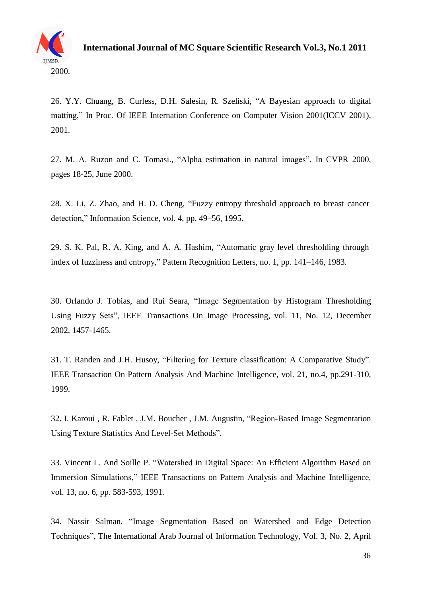

26. Y.Y. Chuang, B. Curless, D.H. Salesin, R. Szeliski, "A Bayesian approach to digital matting," In Proc. Of IEEE Internation Conference on Computer Vision 2001(ICCV 2001), 2001.

27. M. A. Ruzon and C. Tomasi., "Alpha estimation in natural images", In CVPR 2000, pages 18-25, June 2000.

28. X. Li, Z. Zhao, and H. D. Cheng, "Fuzzy entropy threshold approach to breast cancer detection," Information Science, vol. 4, pp. 49–56, 1995.

29. S. K. Pal, R. A. King, and A. A. Hashim, "Automatic gray level thresholding through index of fuzziness and entropy," Pattern Recognition Letters, no. 1, pp. 141–146, 1983.

30. Orlando J. Tobias, and Rui Seara, "Image Segmentation by Histogram Thresholding Using Fuzzy Sets", IEEE Transactions On Image Processing, vol. 11, No. 12, December 2002, 1457-1465.

31. T. Randen and J.H. Husoy, "Filtering for Texture classification: A Comparative Study". IEEE Transaction On Pattern Analysis And Machine Intelligence, vol. 21, no.4, pp.291-310, 1999.

32. I. Karoui , R. Fablet , J.M. Boucher , J.M. Augustin, "Region-Based Image Segmentation Using Texture Statistics And Level-Set Methods".

33. Vincent L. And Soille P. "Watershed in Digital Space: An Efficient Algorithm Based on Immersion Simulations," IEEE Transactions on Pattern Analysis and Machine Intelligence, vol. 13, no. 6, pp. 583-593, 1991.

34. Nassir Salman, "Image Segmentation Based on Watershed and Edge Detection Techniques", The International Arab Journal of Information Technology, Vol. 3, No. 2, April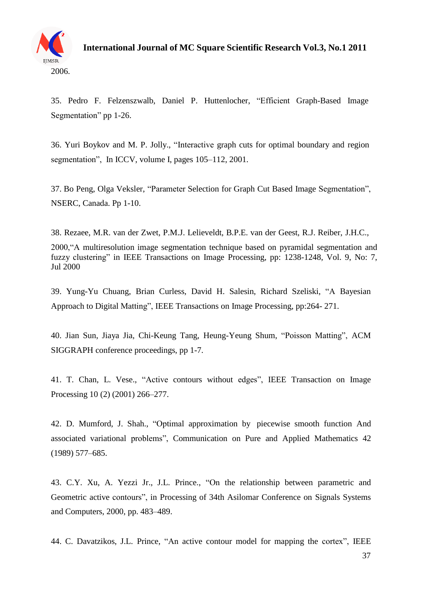

35. Pedro F. Felzenszwalb, Daniel P. Huttenlocher, "Efficient Graph-Based Image Segmentation" pp 1-26.

36. Yuri Boykov and M. P. Jolly., "Interactive graph cuts for optimal boundary and region segmentation", In ICCV, volume I, pages 105–112, 2001.

37. Bo Peng, Olga Veksler, "Parameter Selection for Graph Cut Based Image Segmentation", NSERC, Canada. Pp 1-10.

38. Rezaee, M.R. van der Zwet, P.M.J. Lelieveldt, B.P.E. van der Geest, R.J. Reiber, J.H.C.,

2000,"A multiresolution image segmentation technique based on pyramidal segmentation and fuzzy clustering" in IEEE Transactions on Image Processing, pp: 1238-1248, Vol. 9, No: 7, Jul 2000

39. Yung-Yu Chuang, Brian Curless, David H. Salesin, Richard Szeliski, "A Bayesian Approach to Digital Matting", IEEE Transactions on Image Processing, pp:264- 271.

40. Jian Sun, Jiaya Jia, Chi-Keung Tang, Heung-Yeung Shum, "Poisson Matting", ACM SIGGRAPH conference proceedings, pp 1-7.

41. T. Chan, L. Vese., "Active contours without edges", IEEE Transaction on Image Processing 10 (2) (2001) 266–277.

42. D. Mumford, J. Shah., "Optimal approximation by piecewise smooth function And associated variational problems", Communication on Pure and Applied Mathematics 42 (1989) 577–685.

43. C.Y. Xu, A. Yezzi Jr., J.L. Prince., "On the relationship between parametric and Geometric active contours", in Processing of 34th Asilomar Conference on Signals Systems and Computers, 2000, pp. 483–489.

44. C. Davatzikos, J.L. Prince, "An active contour model for mapping the cortex", IEEE